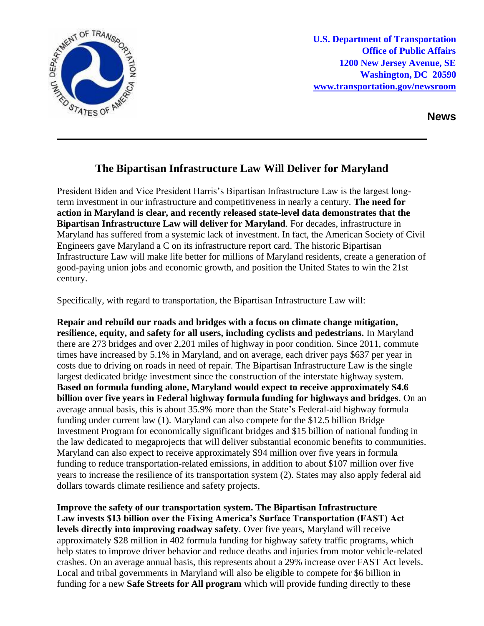

**U.S. Department of Transportation Office of Public Affairs 1200 New Jersey Avenue, SE Washington, DC 20590 [www.transportation.gov/newsroom](http://www.transportation.gov/newsroom)** 

**News**

## **The Bipartisan Infrastructure Law Will Deliver for Maryland**

President Biden and Vice President Harris's Bipartisan Infrastructure Law is the largest longterm investment in our infrastructure and competitiveness in nearly a century. **The need for action in Maryland is clear, and recently released state-level data demonstrates that the Bipartisan Infrastructure Law will deliver for Maryland**. For decades, infrastructure in Maryland has suffered from a systemic lack of investment. In fact, the American Society of Civil Engineers gave Maryland a C on its infrastructure report card. The historic Bipartisan Infrastructure Law will make life better for millions of Maryland residents, create a generation of good-paying union jobs and economic growth, and position the United States to win the 21st century.

Specifically, with regard to transportation, the Bipartisan Infrastructure Law will:

**Repair and rebuild our roads and bridges with a focus on climate change mitigation, resilience, equity, and safety for all users, including cyclists and pedestrians.** In Maryland there are 273 bridges and over 2,201 miles of highway in poor condition. Since 2011, commute times have increased by 5.1% in Maryland, and on average, each driver pays \$637 per year in costs due to driving on roads in need of repair. The Bipartisan Infrastructure Law is the single largest dedicated bridge investment since the construction of the interstate highway system. **Based on formula funding alone, Maryland would expect to receive approximately \$4.6 billion over five years in Federal highway formula funding for highways and bridges**. On an average annual basis, this is about 35.9% more than the State's Federal-aid highway formula funding under current law (1). Maryland can also compete for the \$12.5 billion Bridge Investment Program for economically significant bridges and \$15 billion of national funding in the law dedicated to megaprojects that will deliver substantial economic benefits to communities. Maryland can also expect to receive approximately \$94 million over five years in formula funding to reduce transportation-related emissions, in addition to about \$107 million over five years to increase the resilience of its transportation system (2). States may also apply federal aid dollars towards climate resilience and safety projects.

**Improve the safety of our transportation system. The Bipartisan Infrastructure Law invests \$13 billion over the Fixing America's Surface Transportation (FAST) Act levels directly into improving roadway safety**. Over five years, Maryland will receive approximately \$28 million in 402 formula funding for highway safety traffic programs, which help states to improve driver behavior and reduce deaths and injuries from motor vehicle-related crashes. On an average annual basis, this represents about a 29% increase over FAST Act levels. Local and tribal governments in Maryland will also be eligible to compete for \$6 billion in funding for a new **Safe Streets for All program** which will provide funding directly to these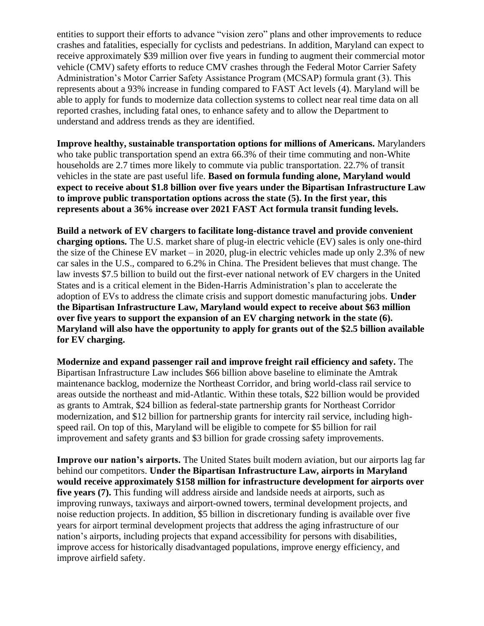entities to support their efforts to advance "vision zero" plans and other improvements to reduce crashes and fatalities, especially for cyclists and pedestrians. In addition, Maryland can expect to receive approximately \$39 million over five years in funding to augment their commercial motor vehicle (CMV) safety efforts to reduce CMV crashes through the Federal Motor Carrier Safety Administration's Motor Carrier Safety Assistance Program (MCSAP) formula grant (3). This represents about a 93% increase in funding compared to FAST Act levels (4). Maryland will be able to apply for funds to modernize data collection systems to collect near real time data on all reported crashes, including fatal ones, to enhance safety and to allow the Department to understand and address trends as they are identified.

**Improve healthy, sustainable transportation options for millions of Americans.** Marylanders who take public transportation spend an extra 66.3% of their time commuting and non-White households are 2.7 times more likely to commute via public transportation. 22.7% of transit vehicles in the state are past useful life. **Based on formula funding alone, Maryland would expect to receive about \$1.8 billion over five years under the Bipartisan Infrastructure Law to improve public transportation options across the state (5). In the first year, this represents about a 36% increase over 2021 FAST Act formula transit funding levels.**

**Build a network of EV chargers to facilitate long-distance travel and provide convenient charging options.** The U.S. market share of plug-in electric vehicle (EV) sales is only one-third the size of the Chinese EV market – in 2020, plug-in electric vehicles made up only 2.3% of new car sales in the U.S., compared to 6.2% in China. The President believes that must change. The law invests \$7.5 billion to build out the first-ever national network of EV chargers in the United States and is a critical element in the Biden-Harris Administration's plan to accelerate the adoption of EVs to address the climate crisis and support domestic manufacturing jobs. **Under the Bipartisan Infrastructure Law, Maryland would expect to receive about \$63 million over five years to support the expansion of an EV charging network in the state (6). Maryland will also have the opportunity to apply for grants out of the \$2.5 billion available for EV charging.** 

**Modernize and expand passenger rail and improve freight rail efficiency and safety.** The Bipartisan Infrastructure Law includes \$66 billion above baseline to eliminate the Amtrak maintenance backlog, modernize the Northeast Corridor, and bring world-class rail service to areas outside the northeast and mid-Atlantic. Within these totals, \$22 billion would be provided as grants to Amtrak, \$24 billion as federal-state partnership grants for Northeast Corridor modernization, and \$12 billion for partnership grants for intercity rail service, including highspeed rail. On top of this, Maryland will be eligible to compete for \$5 billion for rail improvement and safety grants and \$3 billion for grade crossing safety improvements.

**Improve our nation's airports.** The United States built modern aviation, but our airports lag far behind our competitors. **Under the Bipartisan Infrastructure Law, airports in Maryland would receive approximately \$158 million for infrastructure development for airports over five years (7).** This funding will address airside and landside needs at airports, such as improving runways, taxiways and airport-owned towers, terminal development projects, and noise reduction projects. In addition, \$5 billion in discretionary funding is available over five years for airport terminal development projects that address the aging infrastructure of our nation's airports, including projects that expand accessibility for persons with disabilities, improve access for historically disadvantaged populations, improve energy efficiency, and improve airfield safety.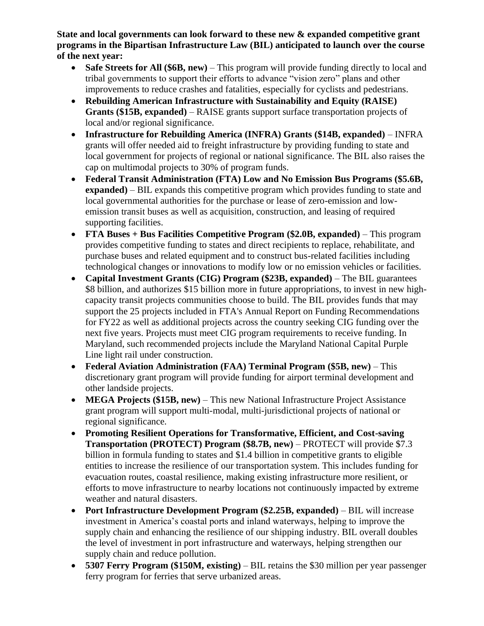**State and local governments can look forward to these new & expanded competitive grant programs in the Bipartisan Infrastructure Law (BIL) anticipated to launch over the course of the next year:** 

- **Safe Streets for All (\$6B, new)** This program will provide funding directly to local and tribal governments to support their efforts to advance "vision zero" plans and other improvements to reduce crashes and fatalities, especially for cyclists and pedestrians.
- **Rebuilding American Infrastructure with Sustainability and Equity (RAISE) Grants (\$15B, expanded)** – RAISE grants support surface transportation projects of local and/or regional significance.
- **Infrastructure for Rebuilding America (INFRA) Grants (\$14B, expanded)**  INFRA grants will offer needed aid to freight infrastructure by providing funding to state and local government for projects of regional or national significance. The BIL also raises the cap on multimodal projects to 30% of program funds.
- **Federal Transit Administration (FTA) Low and No Emission Bus Programs (\$5.6B, expanded)** – BIL expands this competitive program which provides funding to state and local governmental authorities for the purchase or lease of zero-emission and lowemission transit buses as well as acquisition, construction, and leasing of required supporting facilities.
- **FTA Buses + Bus Facilities Competitive Program (\$2.0B, expanded)** This program provides competitive funding to states and direct recipients to replace, rehabilitate, and purchase buses and related equipment and to construct bus-related facilities including technological changes or innovations to modify low or no emission vehicles or facilities.
- **Capital Investment Grants (CIG) Program (\$23B, expanded)** The BIL guarantees \$8 billion, and authorizes \$15 billion more in future appropriations, to invest in new highcapacity transit projects communities choose to build. The BIL provides funds that may support the 25 projects included in FTA's Annual Report on Funding Recommendations for FY22 as well as additional projects across the country seeking CIG funding over the next five years. Projects must meet CIG program requirements to receive funding. In Maryland, such recommended projects include the Maryland National Capital Purple Line light rail under construction.
- **Federal Aviation Administration (FAA) Terminal Program (\$5B, new)** This discretionary grant program will provide funding for airport terminal development and other landside projects.
- **MEGA Projects (\$15B, new)** This new National Infrastructure Project Assistance grant program will support multi-modal, multi-jurisdictional projects of national or regional significance.
- **Promoting Resilient Operations for Transformative, Efficient, and Cost-saving Transportation (PROTECT) Program (\$8.7B, new)** – PROTECT will provide \$7.3 billion in formula funding to states and \$1.4 billion in competitive grants to eligible entities to increase the resilience of our transportation system. This includes funding for evacuation routes, coastal resilience, making existing infrastructure more resilient, or efforts to move infrastructure to nearby locations not continuously impacted by extreme weather and natural disasters.
- **Port Infrastructure Development Program (\$2.25B, expanded)** BIL will increase investment in America's coastal ports and inland waterways, helping to improve the supply chain and enhancing the resilience of our shipping industry. BIL overall doubles the level of investment in port infrastructure and waterways, helping strengthen our supply chain and reduce pollution.
- **5307 Ferry Program (\$150M, existing)** BIL retains the \$30 million per year passenger ferry program for ferries that serve urbanized areas.